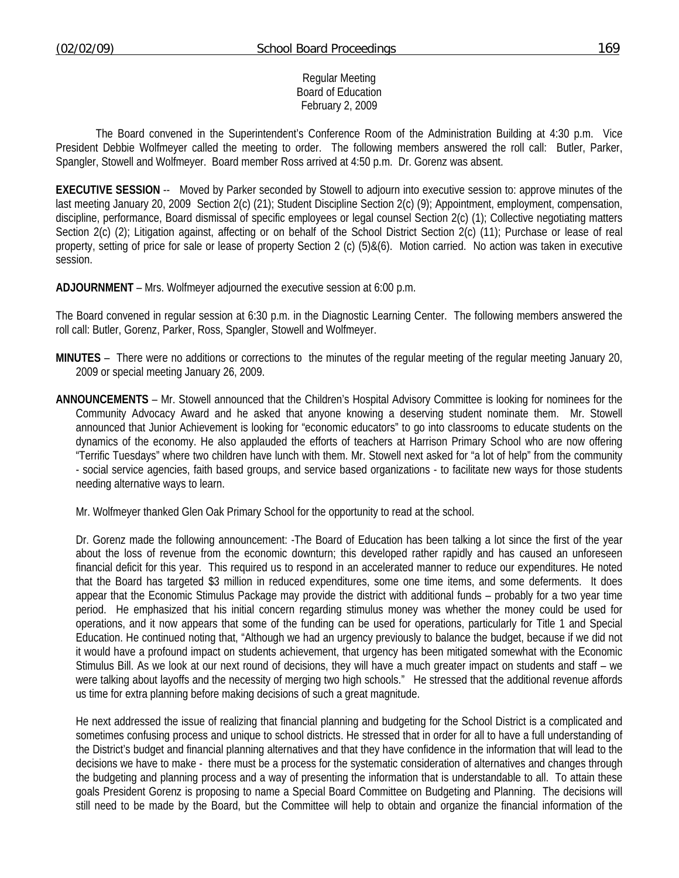#### Regular Meeting Board of Education February 2, 2009

 The Board convened in the Superintendent's Conference Room of the Administration Building at 4:30 p.m. Vice President Debbie Wolfmeyer called the meeting to order. The following members answered the roll call: Butler, Parker, Spangler, Stowell and Wolfmeyer. Board member Ross arrived at 4:50 p.m. Dr. Gorenz was absent.

**EXECUTIVE SESSION** -- Moved by Parker seconded by Stowell to adjourn into executive session to: approve minutes of the last meeting January 20, 2009 Section 2(c) (21); Student Discipline Section 2(c) (9); Appointment, employment, compensation, discipline, performance, Board dismissal of specific employees or legal counsel Section 2(c) (1); Collective negotiating matters Section 2(c) (2); Litigation against, affecting or on behalf of the School District Section 2(c) (11); Purchase or lease of real property, setting of price for sale or lease of property Section 2 (c) (5)&(6). Motion carried. No action was taken in executive session.

**ADJOURNMENT** – Mrs. Wolfmeyer adjourned the executive session at 6:00 p.m.

The Board convened in regular session at 6:30 p.m. in the Diagnostic Learning Center. The following members answered the roll call: Butler, Gorenz, Parker, Ross, Spangler, Stowell and Wolfmeyer.

- **MINUTES** There were no additions or corrections to the minutes of the regular meeting of the regular meeting January 20, 2009 or special meeting January 26, 2009.
- **ANNOUNCEMENTS** Mr. Stowell announced that the Children's Hospital Advisory Committee is looking for nominees for the Community Advocacy Award and he asked that anyone knowing a deserving student nominate them. Mr. Stowell announced that Junior Achievement is looking for "economic educators" to go into classrooms to educate students on the dynamics of the economy. He also applauded the efforts of teachers at Harrison Primary School who are now offering "Terrific Tuesdays" where two children have lunch with them. Mr. Stowell next asked for "a lot of help" from the community - social service agencies, faith based groups, and service based organizations - to facilitate new ways for those students needing alternative ways to learn.

Mr. Wolfmeyer thanked Glen Oak Primary School for the opportunity to read at the school.

 Dr. Gorenz made the following announcement: -The Board of Education has been talking a lot since the first of the year about the loss of revenue from the economic downturn; this developed rather rapidly and has caused an unforeseen financial deficit for this year. This required us to respond in an accelerated manner to reduce our expenditures. He noted that the Board has targeted \$3 million in reduced expenditures, some one time items, and some deferments. It does appear that the Economic Stimulus Package may provide the district with additional funds – probably for a two year time period. He emphasized that his initial concern regarding stimulus money was whether the money could be used for operations, and it now appears that some of the funding can be used for operations, particularly for Title 1 and Special Education. He continued noting that, "Although we had an urgency previously to balance the budget, because if we did not it would have a profound impact on students achievement, that urgency has been mitigated somewhat with the Economic Stimulus Bill. As we look at our next round of decisions, they will have a much greater impact on students and staff – we were talking about layoffs and the necessity of merging two high schools." He stressed that the additional revenue affords us time for extra planning before making decisions of such a great magnitude.

 He next addressed the issue of realizing that financial planning and budgeting for the School District is a complicated and sometimes confusing process and unique to school districts. He stressed that in order for all to have a full understanding of the District's budget and financial planning alternatives and that they have confidence in the information that will lead to the decisions we have to make - there must be a process for the systematic consideration of alternatives and changes through the budgeting and planning process and a way of presenting the information that is understandable to all. To attain these goals President Gorenz is proposing to name a Special Board Committee on Budgeting and Planning. The decisions will still need to be made by the Board, but the Committee will help to obtain and organize the financial information of the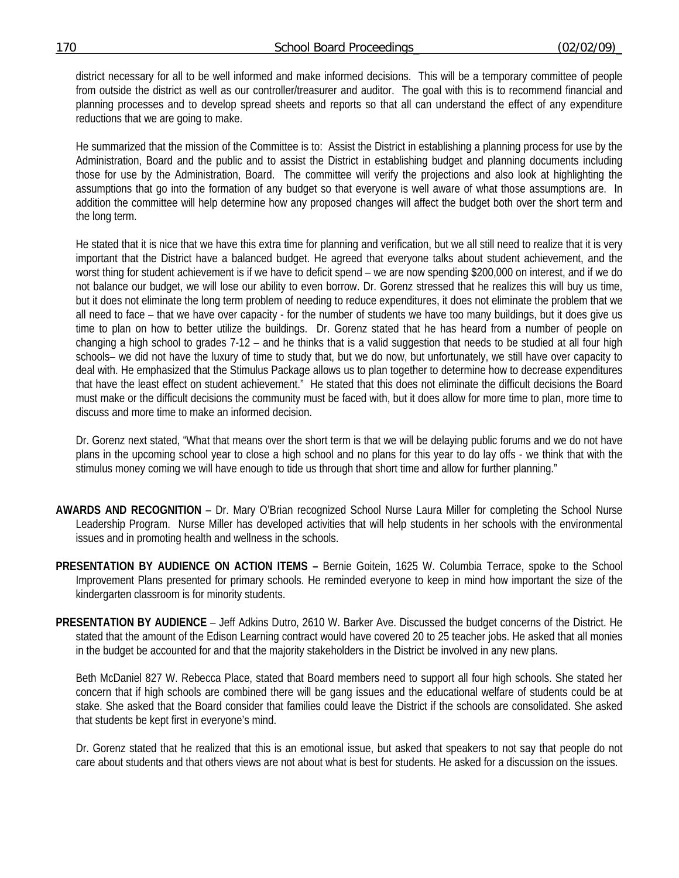district necessary for all to be well informed and make informed decisions. This will be a temporary committee of people from outside the district as well as our controller/treasurer and auditor. The goal with this is to recommend financial and planning processes and to develop spread sheets and reports so that all can understand the effect of any expenditure reductions that we are going to make.

He summarized that the mission of the Committee is to: Assist the District in establishing a planning process for use by the Administration, Board and the public and to assist the District in establishing budget and planning documents including those for use by the Administration, Board. The committee will verify the projections and also look at highlighting the assumptions that go into the formation of any budget so that everyone is well aware of what those assumptions are. In addition the committee will help determine how any proposed changes will affect the budget both over the short term and the long term.

He stated that it is nice that we have this extra time for planning and verification, but we all still need to realize that it is very important that the District have a balanced budget. He agreed that everyone talks about student achievement, and the worst thing for student achievement is if we have to deficit spend – we are now spending \$200,000 on interest, and if we do not balance our budget, we will lose our ability to even borrow. Dr. Gorenz stressed that he realizes this will buy us time, but it does not eliminate the long term problem of needing to reduce expenditures, it does not eliminate the problem that we all need to face – that we have over capacity - for the number of students we have too many buildings, but it does give us time to plan on how to better utilize the buildings. Dr. Gorenz stated that he has heard from a number of people on changing a high school to grades 7-12 – and he thinks that is a valid suggestion that needs to be studied at all four high schools– we did not have the luxury of time to study that, but we do now, but unfortunately, we still have over capacity to deal with. He emphasized that the Stimulus Package allows us to plan together to determine how to decrease expenditures that have the least effect on student achievement." He stated that this does not eliminate the difficult decisions the Board must make or the difficult decisions the community must be faced with, but it does allow for more time to plan, more time to discuss and more time to make an informed decision.

Dr. Gorenz next stated, "What that means over the short term is that we will be delaying public forums and we do not have plans in the upcoming school year to close a high school and no plans for this year to do lay offs - we think that with the stimulus money coming we will have enough to tide us through that short time and allow for further planning."

- **AWARDS AND RECOGNITION** Dr. Mary O'Brian recognized School Nurse Laura Miller for completing the School Nurse Leadership Program. Nurse Miller has developed activities that will help students in her schools with the environmental issues and in promoting health and wellness in the schools.
- **PRESENTATION BY AUDIENCE ON ACTION ITEMS** Bernie Goitein, 1625 W. Columbia Terrace, spoke to the School Improvement Plans presented for primary schools. He reminded everyone to keep in mind how important the size of the kindergarten classroom is for minority students.
- **PRESENTATION BY AUDIENCE** Jeff Adkins Dutro, 2610 W. Barker Ave. Discussed the budget concerns of the District. He stated that the amount of the Edison Learning contract would have covered 20 to 25 teacher jobs. He asked that all monies in the budget be accounted for and that the majority stakeholders in the District be involved in any new plans.

 Beth McDaniel 827 W. Rebecca Place, stated that Board members need to support all four high schools. She stated her concern that if high schools are combined there will be gang issues and the educational welfare of students could be at stake. She asked that the Board consider that families could leave the District if the schools are consolidated. She asked that students be kept first in everyone's mind.

 Dr. Gorenz stated that he realized that this is an emotional issue, but asked that speakers to not say that people do not care about students and that others views are not about what is best for students. He asked for a discussion on the issues.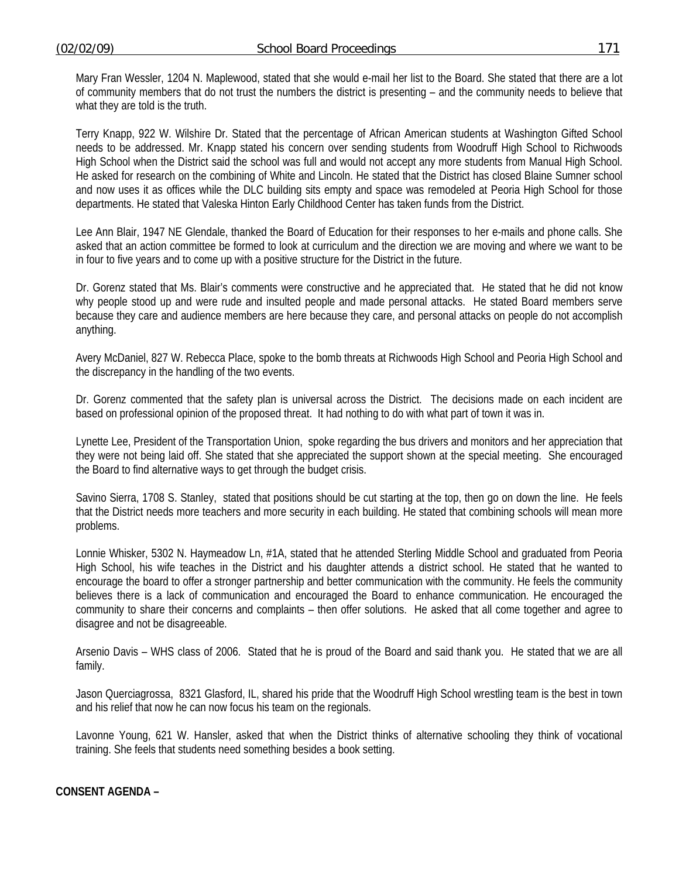Mary Fran Wessler, 1204 N. Maplewood, stated that she would e-mail her list to the Board. She stated that there are a lot of community members that do not trust the numbers the district is presenting – and the community needs to believe that what they are told is the truth.

 Terry Knapp, 922 W. Wilshire Dr. Stated that the percentage of African American students at Washington Gifted School needs to be addressed. Mr. Knapp stated his concern over sending students from Woodruff High School to Richwoods High School when the District said the school was full and would not accept any more students from Manual High School. He asked for research on the combining of White and Lincoln. He stated that the District has closed Blaine Sumner school and now uses it as offices while the DLC building sits empty and space was remodeled at Peoria High School for those departments. He stated that Valeska Hinton Early Childhood Center has taken funds from the District.

 Lee Ann Blair, 1947 NE Glendale, thanked the Board of Education for their responses to her e-mails and phone calls. She asked that an action committee be formed to look at curriculum and the direction we are moving and where we want to be in four to five years and to come up with a positive structure for the District in the future.

 Dr. Gorenz stated that Ms. Blair's comments were constructive and he appreciated that. He stated that he did not know why people stood up and were rude and insulted people and made personal attacks. He stated Board members serve because they care and audience members are here because they care, and personal attacks on people do not accomplish anything.

 Avery McDaniel, 827 W. Rebecca Place, spoke to the bomb threats at Richwoods High School and Peoria High School and the discrepancy in the handling of the two events.

 Dr. Gorenz commented that the safety plan is universal across the District. The decisions made on each incident are based on professional opinion of the proposed threat. It had nothing to do with what part of town it was in.

 Lynette Lee, President of the Transportation Union, spoke regarding the bus drivers and monitors and her appreciation that they were not being laid off. She stated that she appreciated the support shown at the special meeting. She encouraged the Board to find alternative ways to get through the budget crisis.

 Savino Sierra, 1708 S. Stanley, stated that positions should be cut starting at the top, then go on down the line. He feels that the District needs more teachers and more security in each building. He stated that combining schools will mean more problems.

 Lonnie Whisker, 5302 N. Haymeadow Ln, #1A, stated that he attended Sterling Middle School and graduated from Peoria High School, his wife teaches in the District and his daughter attends a district school. He stated that he wanted to encourage the board to offer a stronger partnership and better communication with the community. He feels the community believes there is a lack of communication and encouraged the Board to enhance communication. He encouraged the community to share their concerns and complaints – then offer solutions. He asked that all come together and agree to disagree and not be disagreeable.

 Arsenio Davis – WHS class of 2006. Stated that he is proud of the Board and said thank you. He stated that we are all family.

 Jason Querciagrossa, 8321 Glasford, IL, shared his pride that the Woodruff High School wrestling team is the best in town and his relief that now he can now focus his team on the regionals.

 Lavonne Young, 621 W. Hansler, asked that when the District thinks of alternative schooling they think of vocational training. She feels that students need something besides a book setting.

**CONSENT AGENDA –**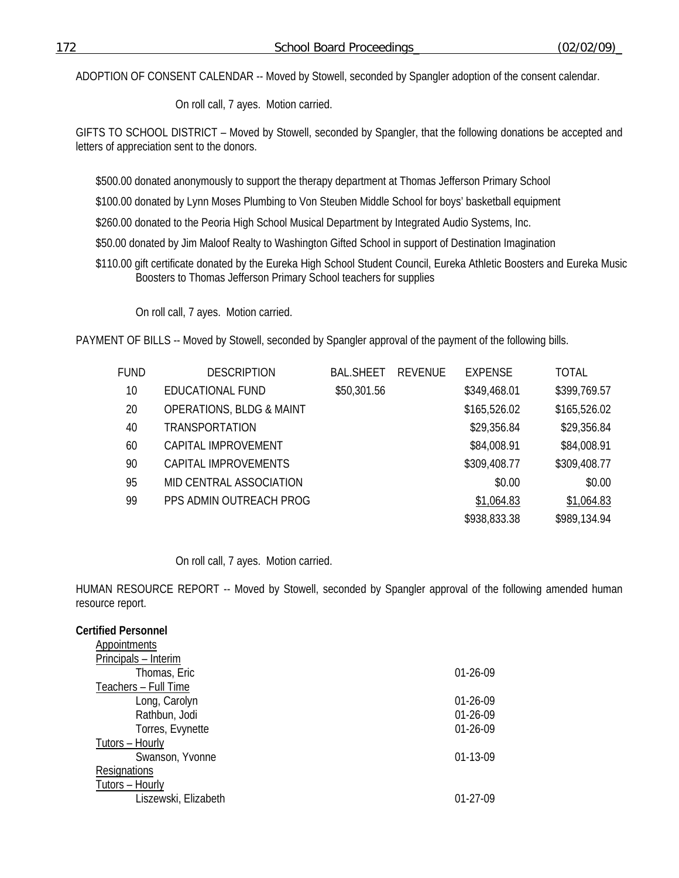ADOPTION OF CONSENT CALENDAR -- Moved by Stowell, seconded by Spangler adoption of the consent calendar.

On roll call, 7 ayes. Motion carried.

GIFTS TO SCHOOL DISTRICT – Moved by Stowell, seconded by Spangler, that the following donations be accepted and letters of appreciation sent to the donors.

\$500.00 donated anonymously to support the therapy department at Thomas Jefferson Primary School

\$100.00 donated by Lynn Moses Plumbing to Von Steuben Middle School for boys' basketball equipment

\$260.00 donated to the Peoria High School Musical Department by Integrated Audio Systems, Inc.

\$50.00 donated by Jim Maloof Realty to Washington Gifted School in support of Destination Imagination

\$110.00 gift certificate donated by the Eureka High School Student Council, Eureka Athletic Boosters and Eureka Music Boosters to Thomas Jefferson Primary School teachers for supplies

On roll call, 7 ayes. Motion carried.

PAYMENT OF BILLS -- Moved by Stowell, seconded by Spangler approval of the payment of the following bills.

| <b>FUND</b> | <b>DESCRIPTION</b>                  | <b>BAL SHEFT</b> | REVENUE | <b>EXPENSE</b> | TOTAL        |
|-------------|-------------------------------------|------------------|---------|----------------|--------------|
| 10          | <b>EDUCATIONAL FUND</b>             | \$50,301.56      |         | \$349,468.01   | \$399,769.57 |
| 20          | <b>OPERATIONS, BLDG &amp; MAINT</b> |                  |         | \$165,526.02   | \$165,526.02 |
| 40          | <b>TRANSPORTATION</b>               |                  |         | \$29,356.84    | \$29,356.84  |
| 60          | CAPITAL IMPROVEMENT                 |                  |         | \$84,008.91    | \$84,008.91  |
| 90          | CAPITAL IMPROVEMENTS                |                  |         | \$309,408.77   | \$309,408.77 |
| 95          | MID CENTRAL ASSOCIATION             |                  |         | \$0.00         | \$0.00       |
| 99          | PPS ADMIN OUTREACH PROG             |                  |         | \$1,064.83     | \$1,064.83   |
|             |                                     |                  |         | \$938,833.38   | \$989,134.94 |

# On roll call, 7 ayes. Motion carried.

HUMAN RESOURCE REPORT -- Moved by Stowell, seconded by Spangler approval of the following amended human resource report.

| <b>Certified Personnel</b> |            |
|----------------------------|------------|
| Appointments               |            |
| Principals - Interim       |            |
| Thomas, Eric               | $01-26-09$ |
| Teachers - Full Time       |            |
| Long, Carolyn              | $01-26-09$ |
| Rathbun, Jodi              | $01-26-09$ |
| Torres, Evynette           | $01-26-09$ |
| Tutors - Hourly            |            |
| Swanson, Yvonne            | $01-13-09$ |
| Resignations               |            |
| Tutors - Hourly            |            |
| Liszewski, Elizabeth       | $01-27-09$ |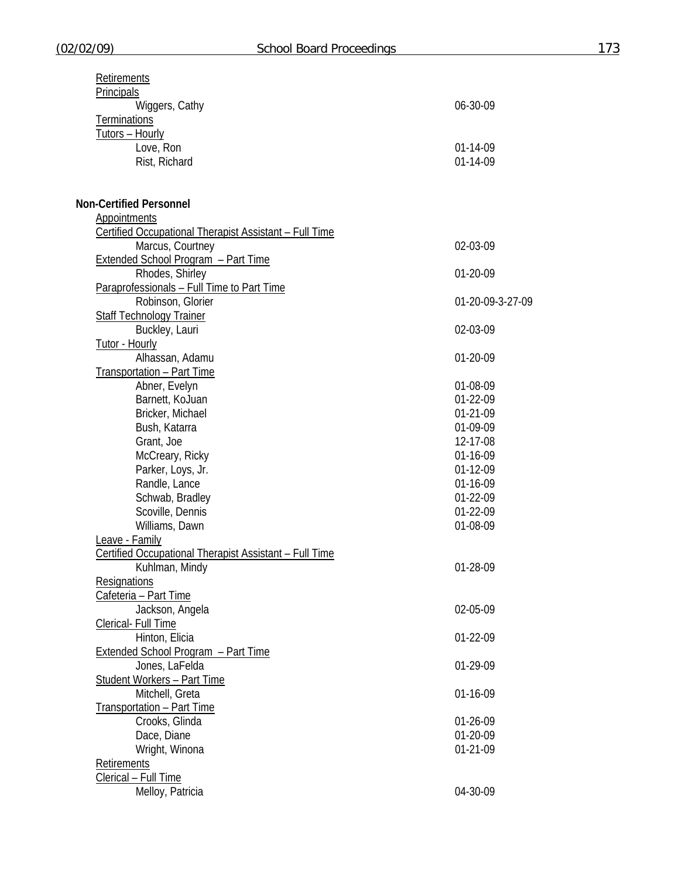| Retirements                                            |                  |
|--------------------------------------------------------|------------------|
| <b>Principals</b>                                      |                  |
| Wiggers, Cathy                                         | 06-30-09         |
| <b>Terminations</b>                                    |                  |
| Tutors - Hourly                                        |                  |
| Love, Ron                                              | 01-14-09         |
| Rist, Richard                                          | 01-14-09         |
|                                                        |                  |
|                                                        |                  |
| <b>Non-Certified Personnel</b>                         |                  |
| <b>Appointments</b>                                    |                  |
| Certified Occupational Therapist Assistant - Full Time |                  |
| Marcus, Courtney                                       | 02-03-09         |
| <b>Extended School Program - Part Time</b>             |                  |
| Rhodes, Shirley                                        | 01-20-09         |
| Paraprofessionals - Full Time to Part Time             |                  |
| Robinson, Glorier                                      | 01-20-09-3-27-09 |
| <b>Staff Technology Trainer</b>                        |                  |
|                                                        |                  |
| Buckley, Lauri                                         | 02-03-09         |
| Tutor - Hourly                                         |                  |
| Alhassan, Adamu                                        | 01-20-09         |
| Transportation - Part Time                             |                  |
| Abner, Evelyn                                          | 01-08-09         |
| Barnett, KoJuan                                        | 01-22-09         |
| Bricker, Michael                                       | $01-21-09$       |
| Bush, Katarra                                          | 01-09-09         |
| Grant, Joe                                             | 12-17-08         |
| McCreary, Ricky                                        | 01-16-09         |
| Parker, Loys, Jr.                                      | 01-12-09         |
| Randle, Lance                                          | 01-16-09         |
| Schwab, Bradley                                        | 01-22-09         |
| Scoville, Dennis                                       | 01-22-09         |
| Williams, Dawn                                         | 01-08-09         |
| Leave - Family                                         |                  |
| Certified Occupational Therapist Assistant - Full Time |                  |
| Kuhlman, Mindy                                         | 01-28-09         |
| <b>Resignations</b>                                    |                  |
| Cafeteria - Part Time                                  |                  |
| Jackson, Angela                                        | 02-05-09         |
| Clerical- Full Time                                    |                  |
| Hinton, Elicia                                         | 01-22-09         |
| Extended School Program - Part Time                    |                  |
| Jones, LaFelda                                         | 01-29-09         |
| <b>Student Workers - Part Time</b>                     |                  |
| Mitchell, Greta                                        | 01-16-09         |
| Transportation - Part Time                             |                  |
| Crooks, Glinda                                         | 01-26-09         |
| Dace, Diane                                            | 01-20-09         |
|                                                        | 01-21-09         |
| Wright, Winona                                         |                  |
| <b>Retirements</b>                                     |                  |
| Clerical - Full Time                                   |                  |
| Melloy, Patricia                                       | 04-30-09         |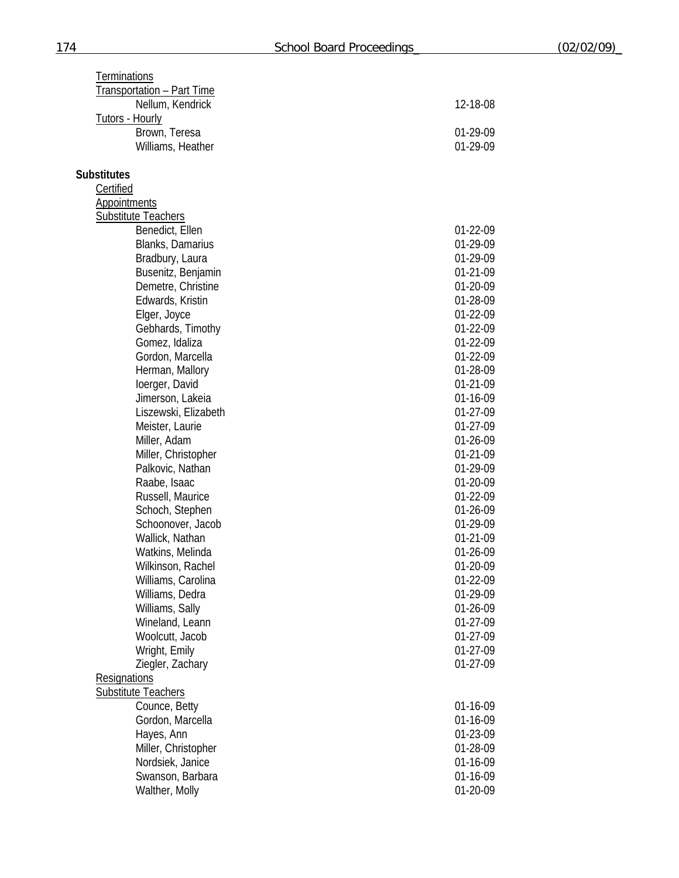| Terminations                            |                      |
|-----------------------------------------|----------------------|
| Transportation - Part Time              |                      |
| Nellum, Kendrick                        | 12-18-08             |
| <b>Tutors - Hourly</b>                  |                      |
| Brown, Teresa                           | 01-29-09             |
| Williams, Heather                       | 01-29-09             |
|                                         |                      |
| <b>Substitutes</b>                      |                      |
| Certified                               |                      |
| Appointments                            |                      |
| <b>Substitute Teachers</b>              |                      |
| Benedict, Ellen                         | 01-22-09             |
| Blanks, Damarius                        | 01-29-09             |
| Bradbury, Laura                         | 01-29-09             |
| Busenitz, Benjamin                      | 01-21-09             |
| Demetre, Christine                      | 01-20-09             |
| Edwards, Kristin                        | 01-28-09             |
| Elger, Joyce                            | 01-22-09             |
| Gebhards, Timothy                       | 01-22-09             |
| Gomez, Idaliza                          | 01-22-09             |
| Gordon, Marcella                        | 01-22-09             |
| Herman, Mallory                         | 01-28-09             |
| loerger, David                          | 01-21-09             |
| Jimerson, Lakeia                        | 01-16-09             |
| Liszewski, Elizabeth                    | 01-27-09             |
| Meister, Laurie                         | 01-27-09             |
| Miller, Adam                            | 01-26-09             |
| Miller, Christopher                     | 01-21-09             |
| Palkovic, Nathan                        | 01-29-09             |
| Raabe, Isaac                            | 01-20-09             |
| Russell, Maurice                        | 01-22-09             |
| Schoch, Stephen                         | 01-26-09             |
| Schoonover, Jacob                       | 01-29-09             |
| Wallick, Nathan                         | 01-21-09             |
| Watkins, Melinda                        | 01-26-09             |
| Wilkinson, Rachel                       | 01-20-09             |
| Williams, Carolina                      | 01-22-09             |
| Williams, Dedra                         | 01-29-09             |
| Williams, Sally                         | 01-26-09             |
| Wineland, Leann                         | 01-27-09             |
| Woolcutt, Jacob                         | 01-27-09             |
| Wright, Emily                           | 01-27-09             |
| Ziegler, Zachary                        | 01-27-09             |
| Resignations                            |                      |
| <b>Substitute Teachers</b>              |                      |
| Counce, Betty                           | 01-16-09             |
| Gordon, Marcella                        | 01-16-09             |
| Hayes, Ann                              | 01-23-09             |
| Miller, Christopher<br>Nordsiek, Janice | 01-28-09<br>01-16-09 |
| Swanson, Barbara                        | 01-16-09             |
| Walther, Molly                          | 01-20-09             |
|                                         |                      |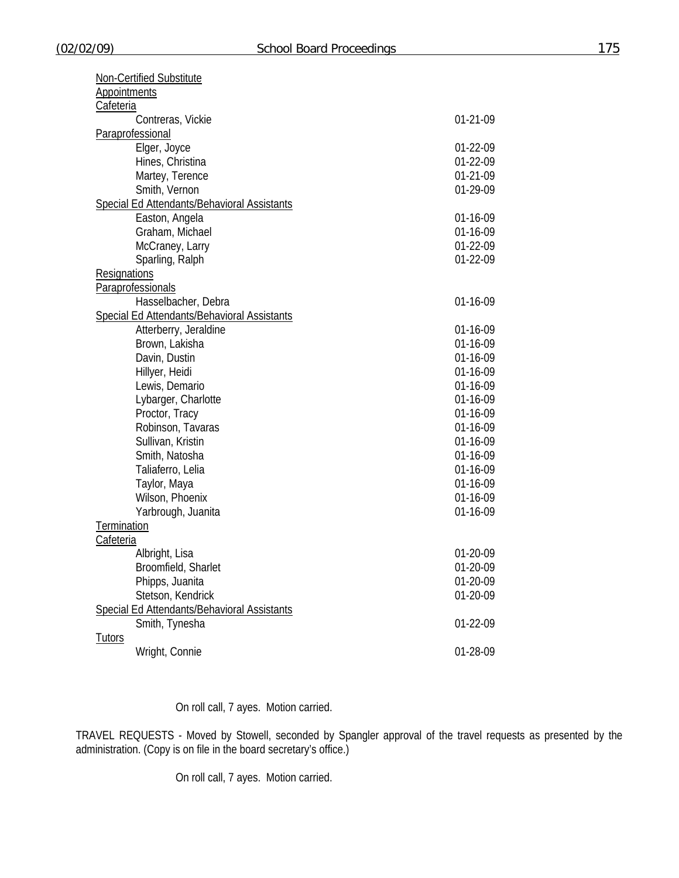| Non-Certified Substitute                           |            |
|----------------------------------------------------|------------|
| <b>Appointments</b>                                |            |
| Cafeteria                                          |            |
| Contreras, Vickie                                  | $01-21-09$ |
| Paraprofessional                                   |            |
| Elger, Joyce                                       | 01-22-09   |
| Hines, Christina                                   | 01-22-09   |
| Martey, Terence                                    | 01-21-09   |
| Smith, Vernon                                      | 01-29-09   |
| <b>Special Ed Attendants/Behavioral Assistants</b> |            |
| Easton, Angela                                     | 01-16-09   |
| Graham, Michael                                    | 01-16-09   |
| McCraney, Larry                                    | 01-22-09   |
| Sparling, Ralph                                    | 01-22-09   |
| <b>Resignations</b>                                |            |
| <b>Paraprofessionals</b>                           |            |
| Hasselbacher, Debra                                | 01-16-09   |
| <b>Special Ed Attendants/Behavioral Assistants</b> |            |
| Atterberry, Jeraldine                              | 01-16-09   |
| Brown, Lakisha                                     | 01-16-09   |
| Davin, Dustin                                      | 01-16-09   |
| Hillyer, Heidi                                     | 01-16-09   |
| Lewis, Demario                                     | 01-16-09   |
| Lybarger, Charlotte                                | 01-16-09   |
| Proctor, Tracy                                     | 01-16-09   |
| Robinson, Tavaras                                  | 01-16-09   |
| Sullivan, Kristin                                  | 01-16-09   |
| Smith, Natosha                                     | 01-16-09   |
| Taliaferro, Lelia                                  | 01-16-09   |
| Taylor, Maya                                       | 01-16-09   |
| Wilson, Phoenix                                    | 01-16-09   |
| Yarbrough, Juanita                                 | 01-16-09   |
| Termination                                        |            |
| Cafeteria                                          |            |
| Albright, Lisa                                     | 01-20-09   |
| Broomfield, Sharlet                                | 01-20-09   |
| Phipps, Juanita                                    | 01-20-09   |
| Stetson, Kendrick                                  | 01-20-09   |
| Special Ed Attendants/Behavioral Assistants        |            |
| Smith, Tynesha                                     | 01-22-09   |
| <b>Tutors</b>                                      |            |
| Wright, Connie                                     | 01-28-09   |

On roll call, 7 ayes. Motion carried.

TRAVEL REQUESTS - Moved by Stowell, seconded by Spangler approval of the travel requests as presented by the administration. (Copy is on file in the board secretary's office.)

On roll call, 7 ayes. Motion carried.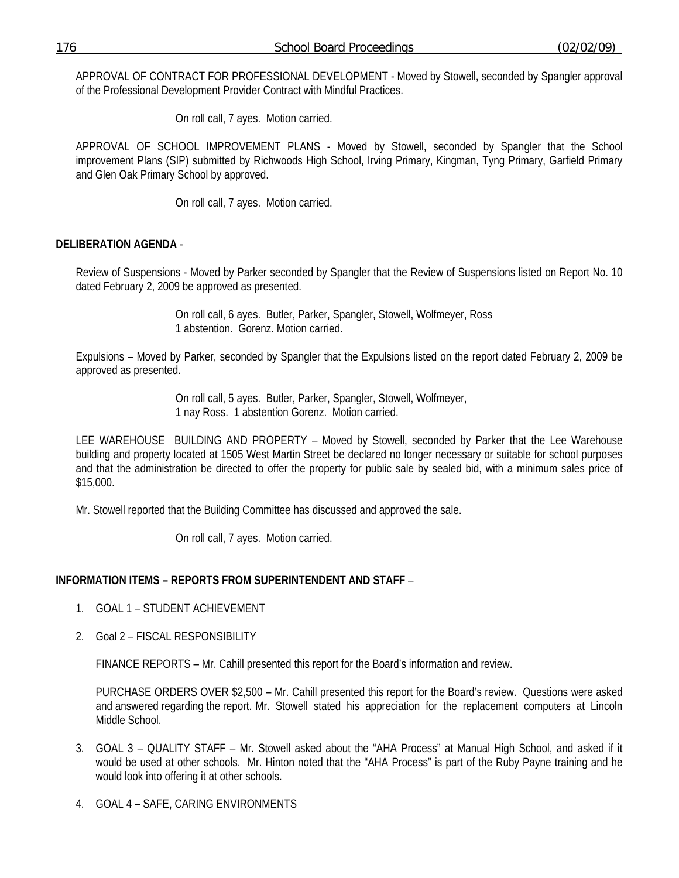APPROVAL OF CONTRACT FOR PROFESSIONAL DEVELOPMENT - Moved by Stowell, seconded by Spangler approval of the Professional Development Provider Contract with Mindful Practices.

On roll call, 7 ayes. Motion carried.

APPROVAL OF SCHOOL IMPROVEMENT PLANS - Moved by Stowell, seconded by Spangler that the School improvement Plans (SIP) submitted by Richwoods High School, Irving Primary, Kingman, Tyng Primary, Garfield Primary and Glen Oak Primary School by approved.

On roll call, 7 ayes. Motion carried.

## **DELIBERATION AGENDA** -

Review of Suspensions - Moved by Parker seconded by Spangler that the Review of Suspensions listed on Report No. 10 dated February 2, 2009 be approved as presented.

> On roll call, 6 ayes. Butler, Parker, Spangler, Stowell, Wolfmeyer, Ross 1 abstention. Gorenz. Motion carried.

Expulsions – Moved by Parker, seconded by Spangler that the Expulsions listed on the report dated February 2, 2009 be approved as presented.

> On roll call, 5 ayes. Butler, Parker, Spangler, Stowell, Wolfmeyer, 1 nay Ross. 1 abstention Gorenz. Motion carried.

LEE WAREHOUSE BUILDING AND PROPERTY – Moved by Stowell, seconded by Parker that the Lee Warehouse building and property located at 1505 West Martin Street be declared no longer necessary or suitable for school purposes and that the administration be directed to offer the property for public sale by sealed bid, with a minimum sales price of \$15,000.

Mr. Stowell reported that the Building Committee has discussed and approved the sale.

On roll call, 7 ayes. Motion carried.

## **INFORMATION ITEMS – REPORTS FROM SUPERINTENDENT AND STAFF** –

- 1. GOAL 1 STUDENT ACHIEVEMENT
- 2. Goal 2 FISCAL RESPONSIBILITY

FINANCE REPORTS – Mr. Cahill presented this report for the Board's information and review.

 PURCHASE ORDERS OVER \$2,500 – Mr. Cahill presented this report for the Board's review. Questions were asked and answered regarding the report. Mr. Stowell stated his appreciation for the replacement computers at Lincoln Middle School.

- 3. GOAL 3 QUALITY STAFF Mr. Stowell asked about the "AHA Process" at Manual High School, and asked if it would be used at other schools. Mr. Hinton noted that the "AHA Process" is part of the Ruby Payne training and he would look into offering it at other schools.
- 4. GOAL 4 SAFE, CARING ENVIRONMENTS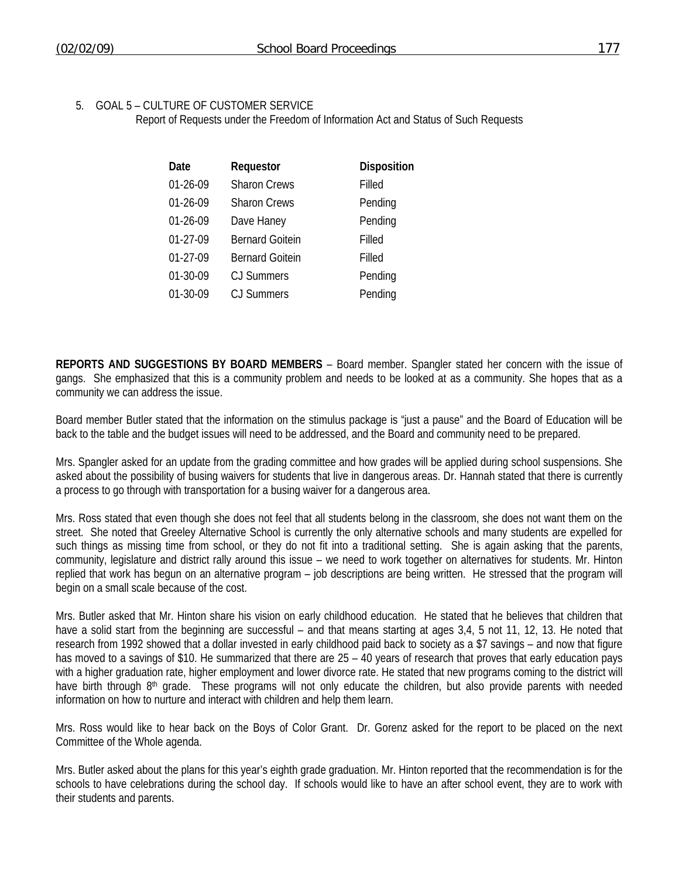### 5. GOAL 5 – CULTURE OF CUSTOMER SERVICE

Report of Requests under the Freedom of Information Act and Status of Such Requests

| Date       | Requestor              | Disposition |
|------------|------------------------|-------------|
| 01-26-09   | <b>Sharon Crews</b>    | Filled      |
| 01-26-09   | <b>Sharon Crews</b>    | Pending     |
| 01-26-09   | Dave Haney             | Pending     |
| 01-27-09   | <b>Bernard Goitein</b> | Filled      |
| $01-27-09$ | <b>Bernard Goitein</b> | Filled      |
| 01-30-09   | <b>CJ Summers</b>      | Pending     |
| 01-30-09   | CJ Summers             | Pending     |

**REPORTS AND SUGGESTIONS BY BOARD MEMBERS** – Board member. Spangler stated her concern with the issue of gangs. She emphasized that this is a community problem and needs to be looked at as a community. She hopes that as a community we can address the issue.

Board member Butler stated that the information on the stimulus package is "just a pause" and the Board of Education will be back to the table and the budget issues will need to be addressed, and the Board and community need to be prepared.

Mrs. Spangler asked for an update from the grading committee and how grades will be applied during school suspensions. She asked about the possibility of busing waivers for students that live in dangerous areas. Dr. Hannah stated that there is currently a process to go through with transportation for a busing waiver for a dangerous area.

Mrs. Ross stated that even though she does not feel that all students belong in the classroom, she does not want them on the street. She noted that Greeley Alternative School is currently the only alternative schools and many students are expelled for such things as missing time from school, or they do not fit into a traditional setting. She is again asking that the parents, community, legislature and district rally around this issue – we need to work together on alternatives for students. Mr. Hinton replied that work has begun on an alternative program – job descriptions are being written. He stressed that the program will begin on a small scale because of the cost.

Mrs. Butler asked that Mr. Hinton share his vision on early childhood education. He stated that he believes that children that have a solid start from the beginning are successful – and that means starting at ages 3,4, 5 not 11, 12, 13. He noted that research from 1992 showed that a dollar invested in early childhood paid back to society as a \$7 savings – and now that figure has moved to a savings of \$10. He summarized that there are 25 – 40 years of research that proves that early education pays with a higher graduation rate, higher employment and lower divorce rate. He stated that new programs coming to the district will have birth through  $8<sup>th</sup>$  grade. These programs will not only educate the children, but also provide parents with needed information on how to nurture and interact with children and help them learn.

Mrs. Ross would like to hear back on the Boys of Color Grant. Dr. Gorenz asked for the report to be placed on the next Committee of the Whole agenda.

Mrs. Butler asked about the plans for this year's eighth grade graduation. Mr. Hinton reported that the recommendation is for the schools to have celebrations during the school day. If schools would like to have an after school event, they are to work with their students and parents.